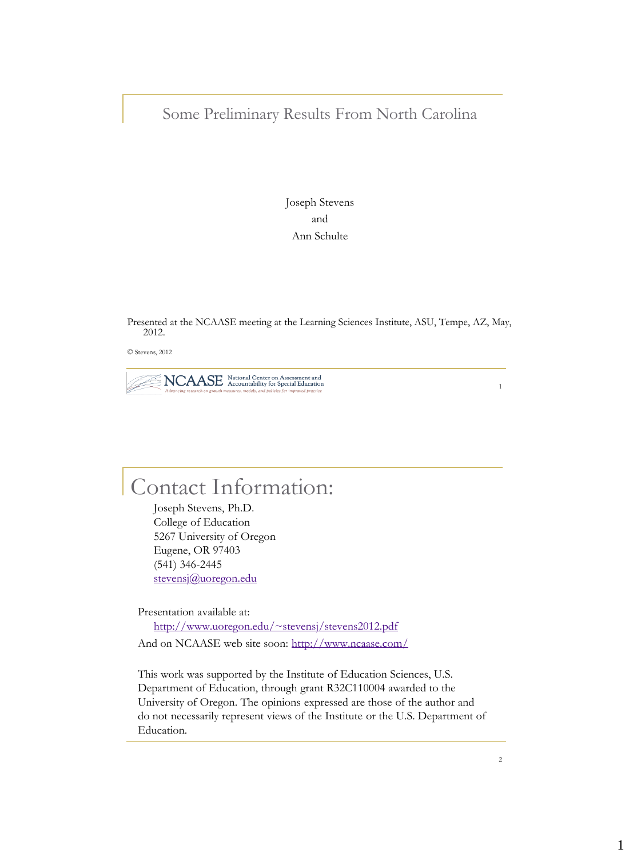## Some Preliminary Results From North Carolina

Joseph Stevens and Ann Schulte

Presented at the NCAASE meeting at the Learning Sciences Institute, ASU, Tempe, AZ, May, 2012.

© Stevens, 2012



1

# Contact Information:

Joseph Stevens, Ph.D. College of Education 5267 University of Oregon Eugene, OR 97403 (541) 346-2445 [stevensj@uoregon.edu](mailto:stevensj@uoregon.edu)

Presentation available at: <http://www.uoregon.edu/~stevensj/stevens2012.pdf> And on NCAASE web site soon: <http://www.ncaase.com/>

This work was supported by the Institute of Education Sciences, U.S. Department of Education, through grant R32C110004 awarded to the University of Oregon. The opinions expressed are those of the author and do not necessarily represent views of the Institute or the U.S. Department of Education.

 $\overline{2}$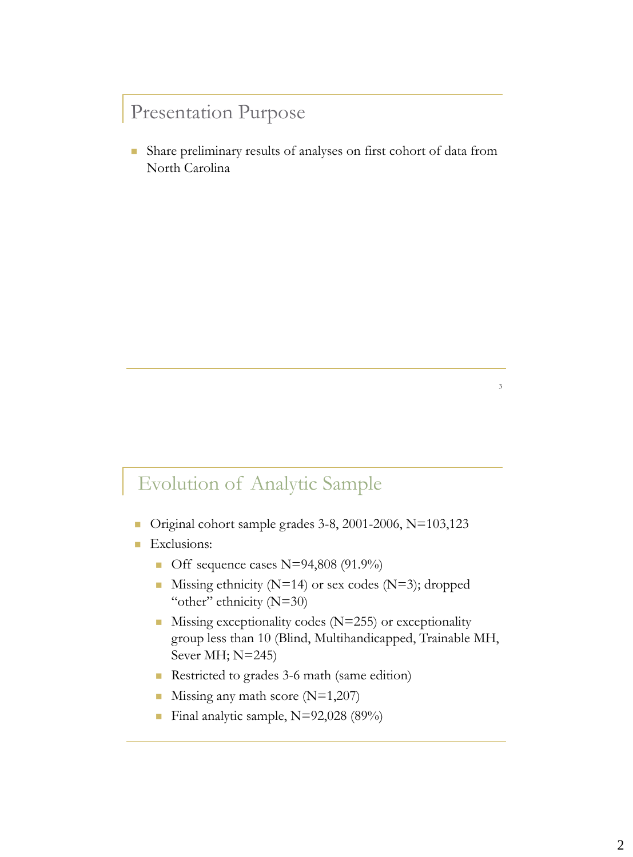## Presentation Purpose

 Share preliminary results of analyses on first cohort of data from North Carolina

## Evolution of Analytic Sample

- Original cohort sample grades 3-8, 2001-2006, N=103,123
- **Exclusions:** 
	- Off sequence cases  $N=94,808 (91.9\%)$
	- Missing ethnicity ( $N=14$ ) or sex codes ( $N=3$ ); dropped "other" ethnicity (N=30)
	- $\blacksquare$  Missing exceptionality codes (N=255) or exceptionality group less than 10 (Blind, Multihandicapped, Trainable MH, Sever MH; N=245)
	- Restricted to grades 3-6 math (same edition)
	- **Missing any math score (N=1,207)**
	- Final analytic sample,  $N=92,028$  (89%)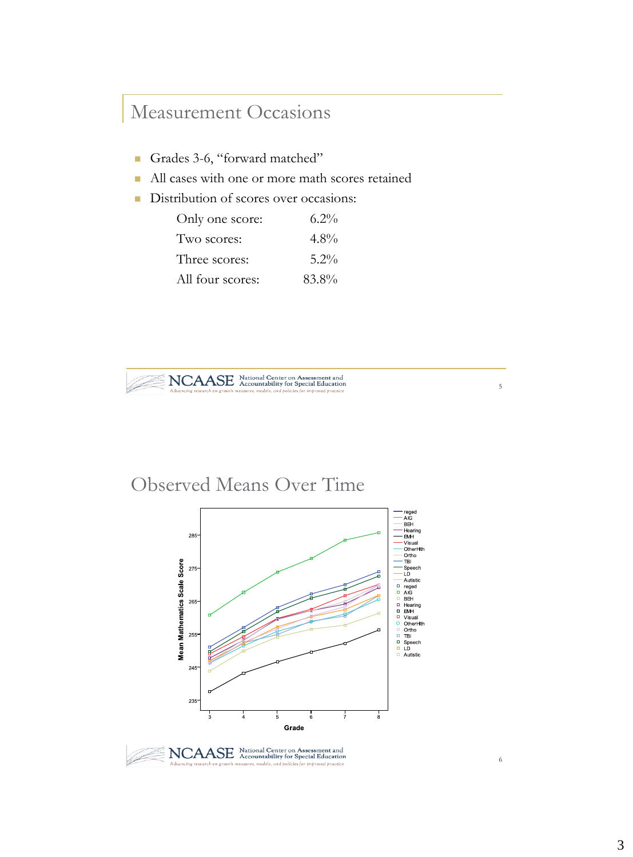## Measurement Occasions

- Grades 3-6, "forward matched"
- All cases with one or more math scores retained
- Distribution of scores over occasions:

| Only one score:  | $6.2\%$ |
|------------------|---------|
| Two scores:      | $4.8\%$ |
| Three scores:    | $5.2\%$ |
| All four scores: | 83.8%   |



## Observed Means Over Time



5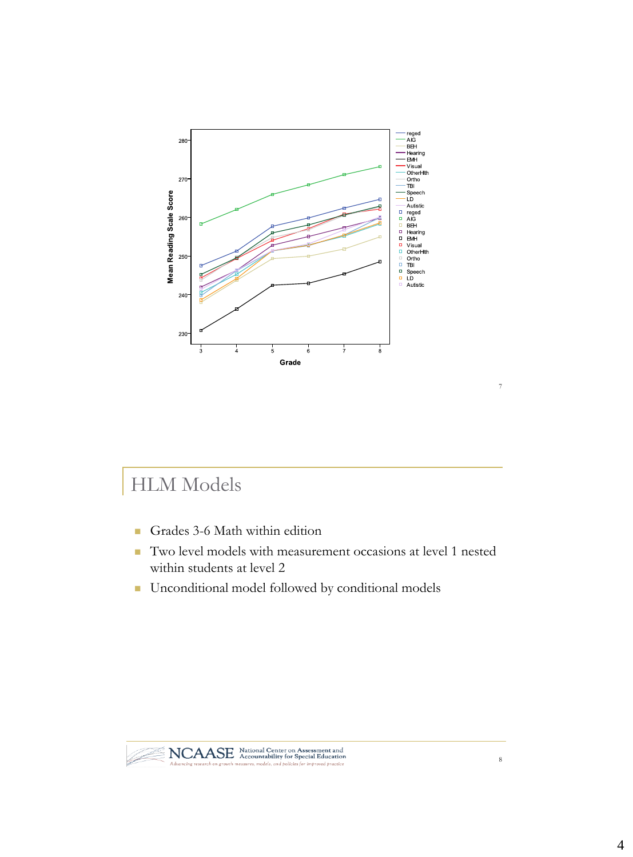

# HLM Models

- Grades 3-6 Math within edition
- Two level models with measurement occasions at level 1 nested within students at level 2
- **Unconditional model followed by conditional models**



7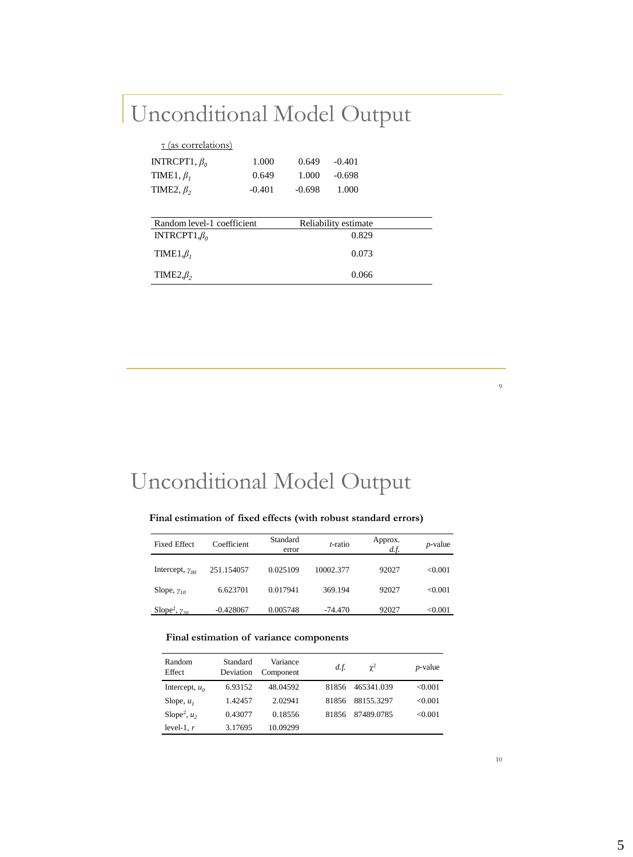# Unconditional Model Output

| $\tau$ (as correlations)   |          |          |                      |  |
|----------------------------|----------|----------|----------------------|--|
| INTRCPT1, $\beta_0$        | 1.000    | 0.649    | $-0.401$             |  |
| TIME1, $\beta_i$           | 0.649    | 1.000    | $-0.698$             |  |
| TIME2, $\beta_2$           | $-0.401$ | $-0.698$ | 1.000                |  |
|                            |          |          |                      |  |
| Random level-1 coefficient |          |          | Reliability estimate |  |
| INTRCPT1, $\beta_0$        |          |          | 0.829                |  |
| TIME1, $\beta_I$           |          |          | 0.073                |  |
| TIME $2,\beta$             |          |          | 0.066                |  |

Unconditional Model Output

## **Final estimation of fixed effects (with robust standard errors)**

| <b>Fixed Effect</b>                | Coefficient | Standard<br>error | t-ratio   | Approx.<br>d.f. | $p$ -value |
|------------------------------------|-------------|-------------------|-----------|-----------------|------------|
| Intercept, $\gamma_{00}$           | 251.154057  | 0.025109          | 10002.377 | 92027           | <0.001     |
| Slope, $\gamma_{10}$               | 6.623701    | 0.017941          | 369.194   | 92027           | <0.001     |
| Slope <sup>2</sup> , $\gamma_{20}$ | $-0.428067$ | 0.005748          | $-74.470$ | 92027           | < 0.001    |

### **Final estimation of variance components**

| Random<br>Effect           | Standard<br>Deviation | Variance<br>Component | d.f.  | $\gamma^2$ | $p$ -value |
|----------------------------|-----------------------|-----------------------|-------|------------|------------|
| Intercept, $u_0$           | 6.93152               | 48.04592              | 81856 | 465341.039 | <0.001     |
| Slope, $u_1$               | 1.42457               | 2.02941               | 81856 | 88155.3297 | <0.001     |
| Slope <sup>2</sup> , $u_2$ | 0.43077               | 0.18556               | 81856 | 87489.0785 | <0.001     |
| level-1, $r$               | 3.17695               | 10.09299              |       |            |            |

10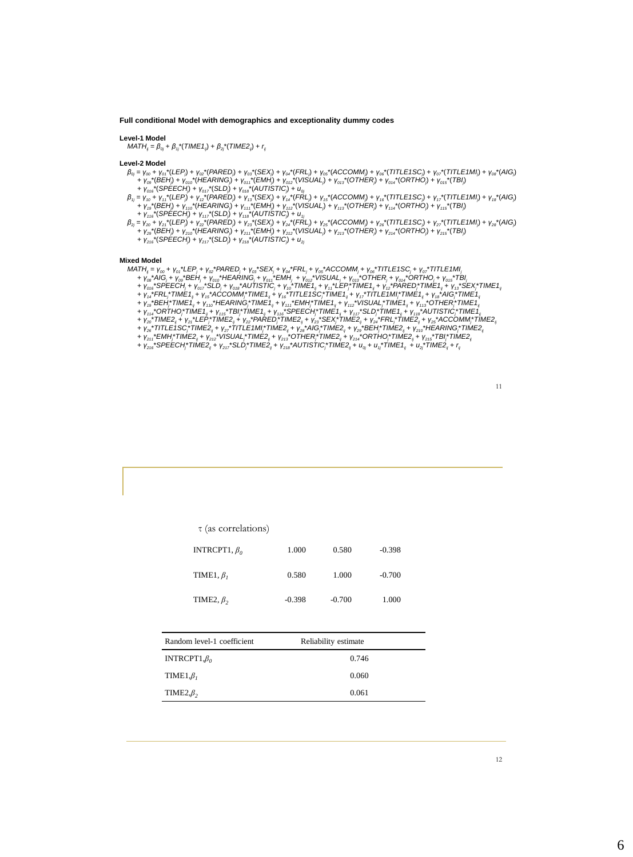### **Full conditional Model with demographics and exceptionality dummy codes**

### **Level-1 Model**

 $MATH_{ij} = \beta_{oj} + \beta_{ij} * (TIME1_{ij}) + \beta_{2j} * (TIME2_{ij}) + r_{ij}$ 

- 
- 
- $\begin{array}{l} \textbf{Level-2 Model} \\ \beta_{0} = \gamma_{00} * \gamma_{00} * (LEP) + \gamma_{00} * (BARED) + \gamma_{00} * (SEX) + \gamma_{00} * (RFL) + \gamma_{00} * (ACCOMM) + \gamma_{00} * (TITLE1SC) + \gamma_{00} * (TITLE1MI) + \gamma_{00} * (ABC) \\ + \gamma_{00} * (BEH) + \gamma_{00} * (HEARING) + \gamma_{00} * (CMIH) + \gamma_{00} * (NSUAL)) + \gamma_{00} * (OTHER) + \gamma_{00} * (ORTHO) + \gamma_{00} * (TBI)$ 
	-
- $\beta_{2j} = V_{20} + V_{2i}^*(LEP_j) + V_{22}^*(PARED_j) + V_{23}^*(SEX_j) + V_{24}^*(FRL) + V_{25}^*(ACCOMM_j) + V_{26}^*(TITLE1SC) + V_{27}^*(TITLE1MI_j) + V_{26}^*(AIG) + V_{27}^*(BEH_j) + V_{210}^*(HEARING) + V_{211}^*(EMH_j) + V_{212}^*(VISUAL_j) + V_{213}^*(OTHER_j) + V_{214}^*(ORTHO_j) + V_{215}^*(TBJ_j) + V_{216}^*(SPEECH_j)$ 
	-

- 
- 
- 
- 
- 
- Mixed Model<br>
MATI<sub>j</sub> =  $V_{00}$  +  $V_{00}$ <sup>\*</sup>LEP<sub>1</sub> +  $V_{00}$ <sup>\*</sup>PARED<sub>1</sub> +  $V_{00}$ <sup>\*</sup>SEX<sub>1</sub> +  $V_{00}$ <sup>\*</sup>FRL<sub>1</sub> +  $V_{00}$ <sup>\*</sup>MCOMM<sub>1</sub> +  $V_{00}$ <sup>\*</sup>MTLE1SC<sub>1</sub> +  $V_{00}$ <sup>\*</sup>TITLE1MI<sub>j</sub><br>
+  $V_{00}$ <sup>\*</sup>AIG<sub>1</sub> +  $V_{00}$ <sup>\*</sup>BEH<sub>1</sub> +  $V_{$ 
	-
	-
- +  $\gamma_{216}$ \*SPEECH $^*$ TIME2 $_{ij}$  +  $\gamma_{217}$ \*SLD $^*$ TIME2 $_{ij}$  +  $\gamma_{216}$ \*AUTISTIC $^*$ TIME2 $_{ij}$  +  $u_{oj}$ +  $u_{ij}$ \*TIME1 $_{ij}$  +  $u_{2j}$ \*TIME2 $_{ij}$  +  $r_{ij}$

| $\tau$ (as correlations) |          |          |          |
|--------------------------|----------|----------|----------|
| INTRCPT1, $\beta_0$      | 1.000    | 0.580    | $-0.398$ |
| TIME1, $\beta$ ,         | 0.580    | 1.000    | $-0.700$ |
| TIME2, $\beta$ ,         | $-0.398$ | $-0.700$ | 1.000    |

| Random level-1 coefficient | Reliability estimate |
|----------------------------|----------------------|
| INTRCPT1, $\beta_0$        | 0.746                |
| TIME1, $\beta$ ,           | 0.060                |
| TIME $2,\beta$             | 0.061                |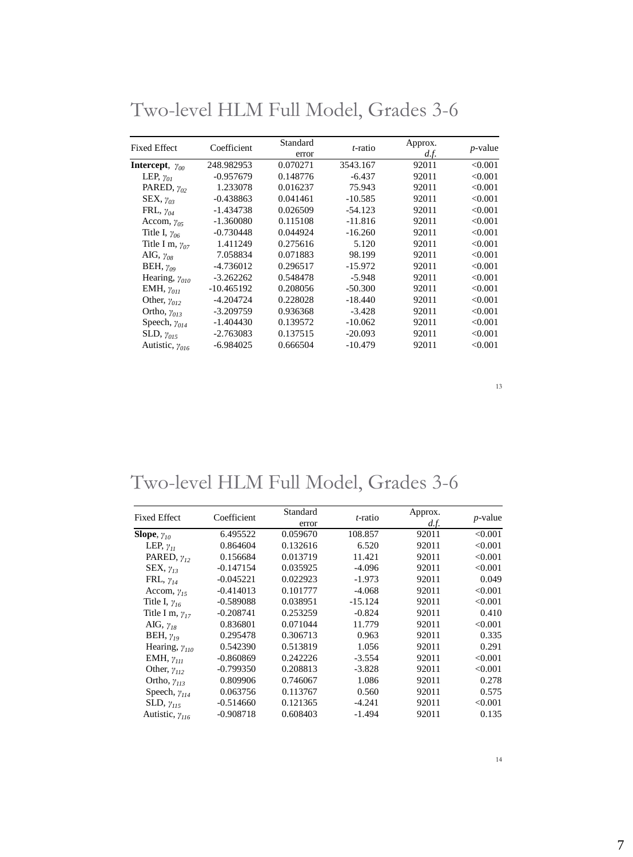| <b>Fixed Effect</b>      | Coefficient  | Standard<br>error | t-ratio   | Approx.<br>d.f. | $p$ -value |
|--------------------------|--------------|-------------------|-----------|-----------------|------------|
| Intercept, $\gamma_{00}$ | 248.982953   | 0.070271          | 3543.167  | 92011           | < 0.001    |
| LEP, $\gamma_{0I}$       | $-0.957679$  | 0.148776          | $-6.437$  | 92011           | < 0.001    |
| PARED, $\gamma_{02}$     | 1.233078     | 0.016237          | 75.943    | 92011           | < 0.001    |
| SEX, $\gamma_{03}$       | $-0.438863$  | 0.041461          | $-10.585$ | 92011           | < 0.001    |
| FRL, $\gamma_{04}$       | $-1.434738$  | 0.026509          | $-54.123$ | 92011           | < 0.001    |
| Accom, $\gamma_{05}$     | $-1.360080$  | 0.115108          | $-11.816$ | 92011           | < 0.001    |
| Title I, $\gamma_{06}$   | $-0.730448$  | 0.044924          | $-16.260$ | 92011           | < 0.001    |
| Title I m, $\gamma_{07}$ | 1.411249     | 0.275616          | 5.120     | 92011           | < 0.001    |
| AIG, $\gamma_{OS}$       | 7.058834     | 0.071883          | 98.199    | 92011           | < 0.001    |
| BEH, $\gamma_{09}$       | $-4.736012$  | 0.296517          | $-15.972$ | 92011           | < 0.001    |
| Hearing, $\gamma_{010}$  | $-3.262262$  | 0.548478          | $-5.948$  | 92011           | < 0.001    |
| EMH, $\gamma_{011}$      | $-10.465192$ | 0.208056          | $-50.300$ | 92011           | < 0.001    |
| Other, $\gamma_{012}$    | -4.204724    | 0.228028          | $-18.440$ | 92011           | < 0.001    |
| Ortho, $\gamma_{013}$    | $-3.209759$  | 0.936368          | $-3.428$  | 92011           | < 0.001    |
| Speech, $\gamma_{014}$   | $-1.404430$  | 0.139572          | $-10.062$ | 92011           | < 0.001    |
| SLD, $\gamma_{015}$      | $-2.763083$  | 0.137515          | $-20.093$ | 92011           | < 0.001    |
| Autistic, $\gamma_{016}$ | $-6.984025$  | 0.666504          | $-10.479$ | 92011           | < 0.001    |

Two-level HLM Full Model, Grades 3-6

# Two-level HLM Full Model, Grades 3-6

| <b>Fixed Effect</b>      | Coefficient | Standard | t-ratio   | Approx. | $p$ -value |
|--------------------------|-------------|----------|-----------|---------|------------|
|                          |             | error    |           | d.f.    |            |
| Slope, $\gamma_{10}$     | 6.495522    | 0.059670 | 108.857   | 92011   | < 0.001    |
| LEP, $\gamma_{II}$       | 0.864604    | 0.132616 | 6.520     | 92011   | < 0.001    |
| PARED, $\gamma_{12}$     | 0.156684    | 0.013719 | 11.421    | 92011   | < 0.001    |
| $SEX, \gamma_{13}$       | $-0.147154$ | 0.035925 | $-4.096$  | 92011   | < 0.001    |
| FRL, $\gamma_{14}$       | $-0.045221$ | 0.022923 | $-1.973$  | 92011   | 0.049      |
| Accom, $\gamma_{15}$     | $-0.414013$ | 0.101777 | $-4.068$  | 92011   | < 0.001    |
| Title I, $\gamma_{16}$   | $-0.589088$ | 0.038951 | $-15.124$ | 92011   | < 0.001    |
| Title I m, $\gamma_{17}$ | $-0.208741$ | 0.253259 | $-0.824$  | 92011   | 0.410      |
| AIG, $\gamma_{18}$       | 0.836801    | 0.071044 | 11.779    | 92011   | < 0.001    |
| BEH, $\gamma_{19}$       | 0.295478    | 0.306713 | 0.963     | 92011   | 0.335      |
| Hearing, $\gamma_{110}$  | 0.542390    | 0.513819 | 1.056     | 92011   | 0.291      |
| EMH, $\gamma_{II}$       | $-0.860869$ | 0.242226 | $-3.554$  | 92011   | < 0.001    |
| Other, $\gamma_{II2}$    | $-0.799350$ | 0.208813 | $-3.828$  | 92011   | < 0.001    |
| Ortho, $\gamma_{II3}$    | 0.809906    | 0.746067 | 1.086     | 92011   | 0.278      |
| Speech, $\gamma_{114}$   | 0.063756    | 0.113767 | 0.560     | 92011   | 0.575      |
| SLD, $\gamma_{115}$      | $-0.514660$ | 0.121365 | $-4.241$  | 92011   | < 0.001    |
| Autistic, $\gamma_{II6}$ | $-0.908718$ | 0.608403 | $-1.494$  | 92011   | 0.135      |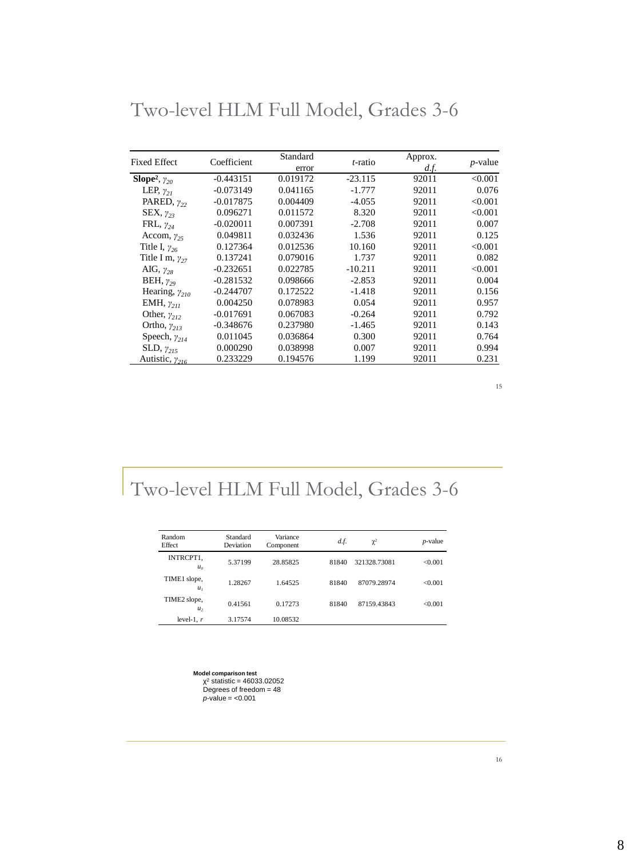| <b>Fixed Effect</b>                | Coefficient | Standard<br>error | <i>t</i> -ratio | Approx.<br>d.f. | $p$ -value |
|------------------------------------|-------------|-------------------|-----------------|-----------------|------------|
| Slope <sup>2</sup> , $\gamma_{20}$ | $-0.443151$ | 0.019172          | $-23.115$       | 92011           | < 0.001    |
| LEP, $\gamma_{21}$                 | $-0.073149$ | 0.041165          | $-1.777$        | 92011           | 0.076      |
| PARED, $\gamma_{22}$               | $-0.017875$ | 0.004409          | $-4.055$        | 92011           | < 0.001    |
| $SEX, \gamma_{23}$                 | 0.096271    | 0.011572          | 8.320           | 92011           | < 0.001    |
| FRL, $\gamma_{24}$                 | $-0.020011$ | 0.007391          | $-2.708$        | 92011           | 0.007      |
| Accom, $\gamma_{25}$               | 0.049811    | 0.032436          | 1.536           | 92011           | 0.125      |
| Title I, $\gamma_{26}$             | 0.127364    | 0.012536          | 10.160          | 92011           | < 0.001    |
| Title I m, $\gamma_{27}$           | 0.137241    | 0.079016          | 1.737           | 92011           | 0.082      |
| AIG, $\gamma_{28}$                 | $-0.232651$ | 0.022785          | $-10.211$       | 92011           | < 0.001    |
| BEH, $\gamma_{29}$                 | $-0.281532$ | 0.098666          | $-2.853$        | 92011           | 0.004      |
| Hearing, $\gamma_{210}$            | $-0.244707$ | 0.172522          | $-1.418$        | 92011           | 0.156      |
| EMH, $\gamma_{211}$                | 0.004250    | 0.078983          | 0.054           | 92011           | 0.957      |
| Other, $\gamma_{212}$              | $-0.017691$ | 0.067083          | $-0.264$        | 92011           | 0.792      |
| Ortho, $\gamma_{213}$              | $-0.348676$ | 0.237980          | $-1.465$        | 92011           | 0.143      |
| Speech, $\gamma_{214}$             | 0.011045    | 0.036864          | 0.300           | 92011           | 0.764      |
| SLD, $\gamma_{215}$                | 0.000290    | 0.038998          | 0.007           | 92011           | 0.994      |
| Autistic, $\gamma_{216}$           | 0.233229    | 0.194576          | 1.199           | 92011           | 0.231      |

Two-level HLM Full Model, Grades 3-6

# Two-level HLM Full Model, Grades 3-6

| Random<br>Effect               | Standard<br>Deviation | Variance<br>Component | d.f.  | $\chi^2$     | <i>p</i> -value |
|--------------------------------|-----------------------|-----------------------|-------|--------------|-----------------|
| INTRCPT1.<br>$u_{\alpha}$      | 5.37199               | 28.85825              | 81840 | 321328.73081 | < 0.001         |
| TIME1 slope,<br>$u_{i}$        | 1.28267               | 1.64525               | 81840 | 87079.28974  | <0.001          |
| TIME2 slope,<br>u <sub>2</sub> | 0.41561               | 0.17273               | 81840 | 87159.43843  | <0.001          |
| level-1, $r$                   | 3.17574               | 10.08532              |       |              |                 |

**Model comparison test<br>
χ<sup>2</sup> statistic = 46033.02052<br>
Degrees of freedom = 48**  $p$ -value = <0.001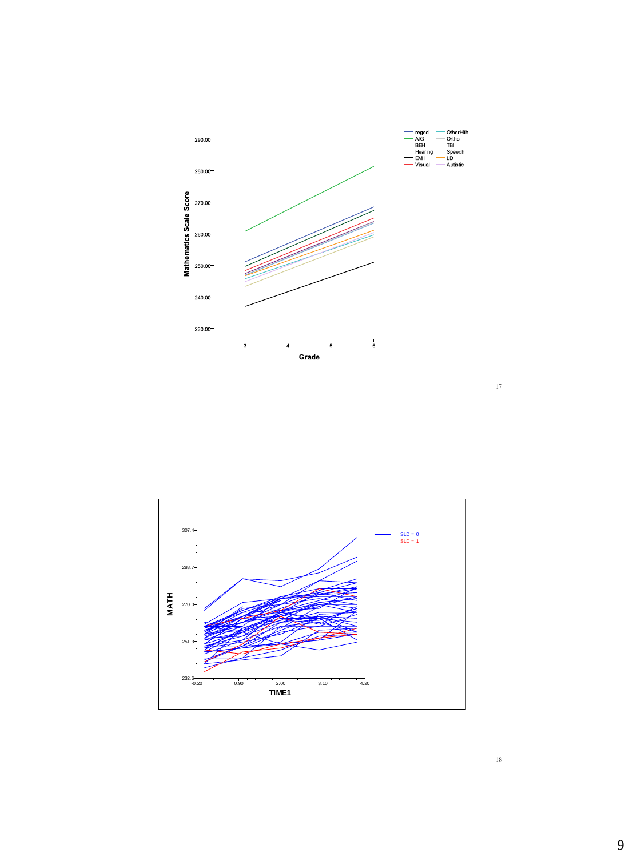



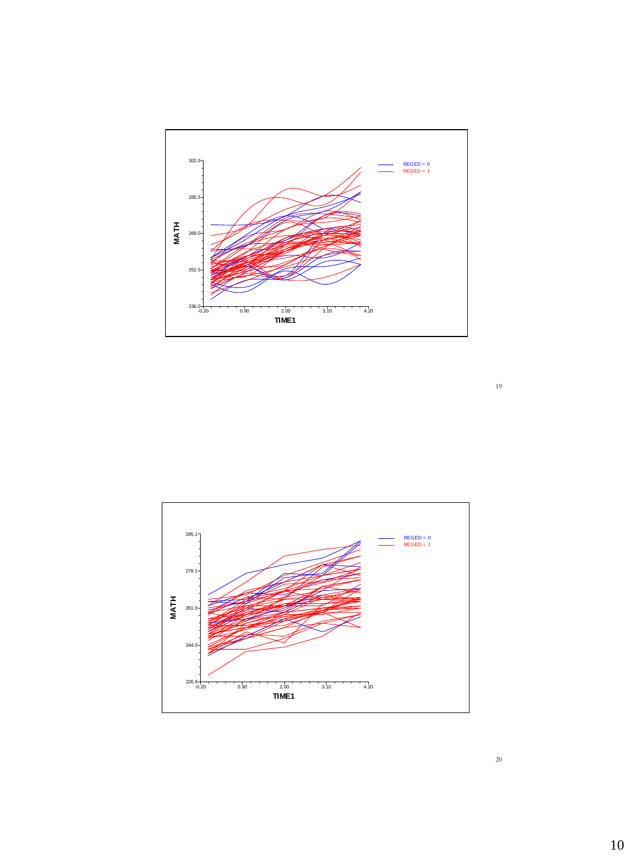

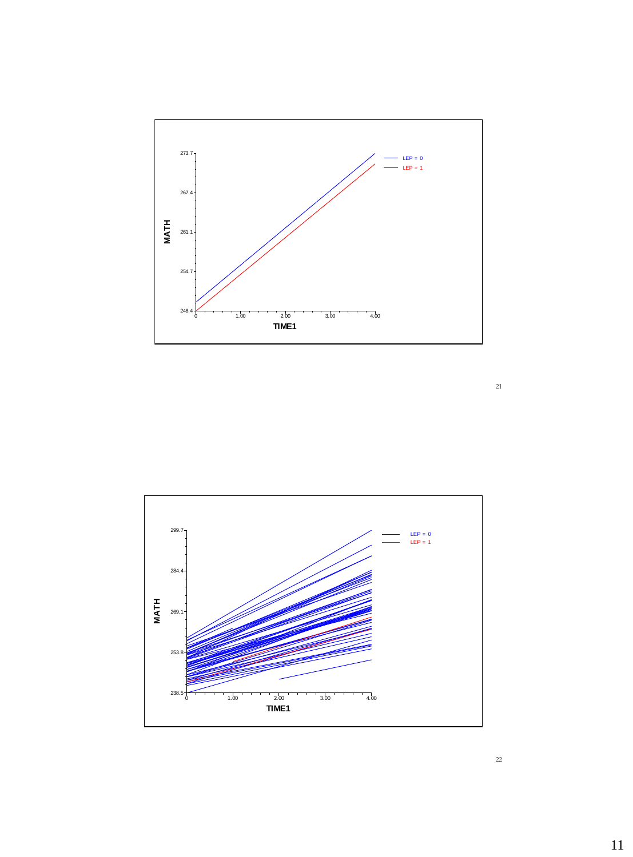

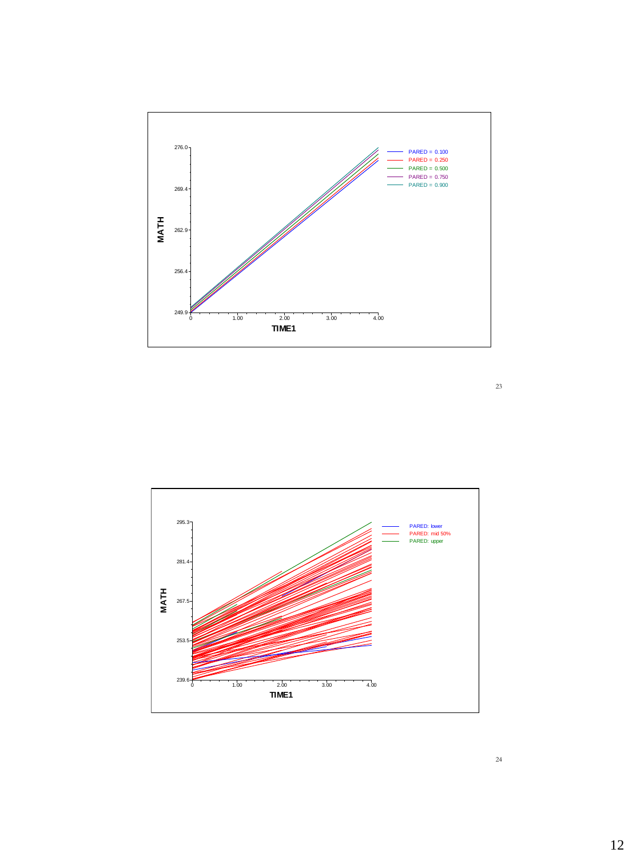

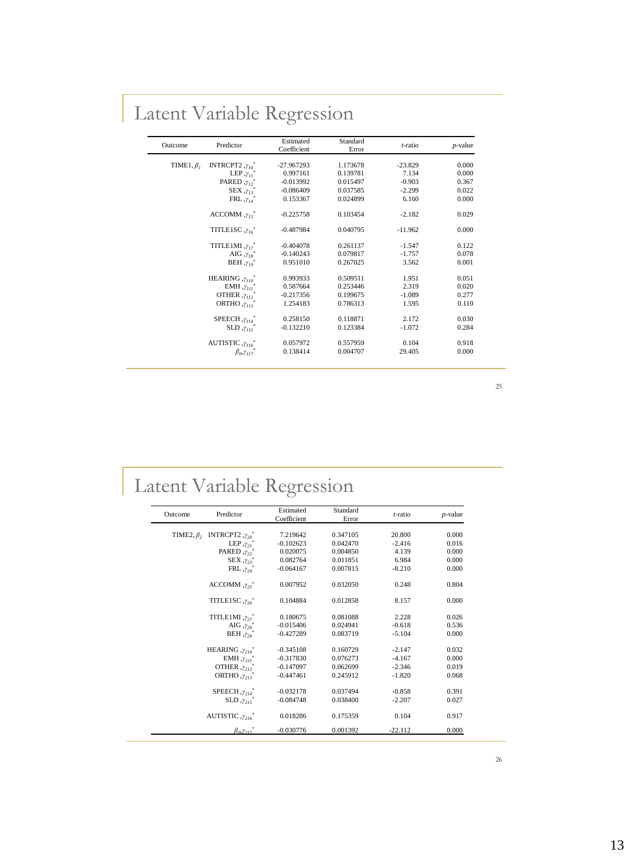# Latent Variable Regression

| Outcome          | Predictor                             | Estimated<br>Coefficient | Standard<br>Error | $t$ -ratio | $p$ -value |
|------------------|---------------------------------------|--------------------------|-------------------|------------|------------|
| TIME1, $\beta_I$ | INTRCPT2, $\gamma_{10}$ <sup>*</sup>  | $-27.967293$             | 1.173678          | $-23.829$  | 0.000      |
|                  | LEP, $\gamma_{11}$ <sup>*</sup>       | 0.997161                 | 0.139781          | 7.134      | 0.000      |
|                  | PARED, $\gamma_{12}$ <sup>*</sup>     | $-0.013992$              | 0.015497          | $-0.903$   | 0.367      |
|                  | $SEX, \gamma_{13}$                    | $-0.086409$              | 0.037585          | $-2.299$   | 0.022      |
|                  | FRL $, y_{14}$ <sup>*</sup>           | 0.153367                 | 0.024899          | 6.160      | 0.000      |
|                  | $\text{ACCOMM}$ , $\gamma_{15}^*$     | $-0.225758$              | 0.103454          | $-2.182$   | 0.029      |
|                  | TITLE1SC, $\gamma_{16}$ <sup>*</sup>  | $-0.487984$              | 0.040795          | $-11.962$  | 0.000      |
|                  | $TITLE1MI, \gamma_{17}^*$             | $-0.404078$              | 0.261137          | $-1.547$   | 0.122      |
|                  | AIG $, \gamma_{18}$                   | $-0.140243$              | 0.079817          | $-1.757$   | 0.078      |
|                  | BEH, $\gamma_{10}^*$                  | 0.951010                 | 0.267025          | 3.562      | 0.001      |
|                  | HEARING $, \gamma_{110}$ <sup>*</sup> | 0.993933                 | 0.509511          | 1.951      | 0.051      |
|                  | EMH, $\gamma_{II}$                    | 0.587664                 | 0.253446          | 2.319      | 0.020      |
|                  | OTHER, $\gamma_{II}$ , $*$            | $-0.217356$              | 0.199675          | $-1.089$   | 0.277      |
|                  | ORTHO, $\gamma_{II}$ ;                | 1.254183                 | 0.786313          | 1.595      | 0.110      |
|                  | SPEECH, $\gamma_{II4}$ <sup>*</sup>   | 0.258150                 | 0.118871          | 2.172      | 0.030      |
|                  | $SLD, \gamma_{115}$                   | $-0.132210$              | 0.123384          | $-1.072$   | 0.284      |
|                  | AUTISTIC, $\gamma_{116}$ <sup>*</sup> | 0.057972                 | 0.557959          | 0.104      | 0.918      |
|                  | $\beta_0, \gamma_{117}$               | 0.138414                 | 0.004707          | 29.405     | 0.000      |

### 25

# Latent Variable Regression

| Outcome | Predictor                                             | Estimated   | Standard | $t$ -ratio | $p$ -value |
|---------|-------------------------------------------------------|-------------|----------|------------|------------|
|         |                                                       | Coefficient | Error    |            |            |
|         |                                                       |             |          |            |            |
|         | TIME2, $\beta$ , INTRCPT2, $\gamma_{20}$ <sup>*</sup> | 7.219642    | 0.347105 | 20.800     | 0.000      |
|         | LEP, $\gamma_{21}$                                    | $-0.102623$ | 0.042470 | $-2.416$   | 0.016      |
|         | PARED, $\gamma_{22}$                                  | 0.020075    | 0.004850 | 4.139      | 0.000      |
|         | $SEX, \gamma_{23}$                                    | 0.082764    | 0.011851 | 6.984      | 0.000      |
|         | $FRL, \gamma_{24}$                                    | $-0.064167$ | 0.007815 | $-8.210$   | 0.000      |
|         | $ACCOMM, \gamma_{25}^*$                               | 0.007952    | 0.032050 | 0.248      | 0.804      |
|         | TITLE1SC, $\gamma_{26}$ <sup>*</sup>                  | 0.104884    | 0.012858 | 8.157      | 0.000      |
|         | $TITLE1MI, \gamma_{27}^*$                             | 0.180675    | 0.081088 | 2.228      | 0.026      |
|         | AIG $, \gamma_{28}$                                   | $-0.015406$ | 0.024941 | $-0.618$   | 0.536      |
|         | BEH, $y_{20}$                                         | $-0.427289$ | 0.083719 | $-5.104$   | 0.000      |
|         | HEARING $, \gamma_{210}$ <sup>*</sup>                 | $-0.345108$ | 0.160729 | $-2.147$   | 0.032      |
|         | EMH, $\gamma_{211}$                                   | $-0.317830$ | 0.076273 | $-4.167$   | 0.000      |
|         | OTHER $, \gamma, \gamma$                              | $-0.147097$ | 0.062699 | $-2.346$   | 0.019      |
|         | ORTHO $, \gamma_{213}$ <sup>*</sup>                   | $-0.447461$ | 0.245912 | $-1.820$   | 0.068      |
|         | $SPEECH, \gamma, \gamma'$                             | $-0.032178$ | 0.037494 | $-0.858$   | 0.391      |
|         | $SLD, \gamma_{215}$                                   | $-0.084748$ | 0.038400 | $-2.207$   | 0.027      |
|         | AUTISTIC $, \gamma_{216}$ <sup>*</sup>                | 0.018286    | 0.175359 | 0.104      | 0.917      |
|         | $\beta_{\alpha} \gamma_{\gamma}$                      | $-0.030776$ | 0.001392 | $-22.112$  | 0.000      |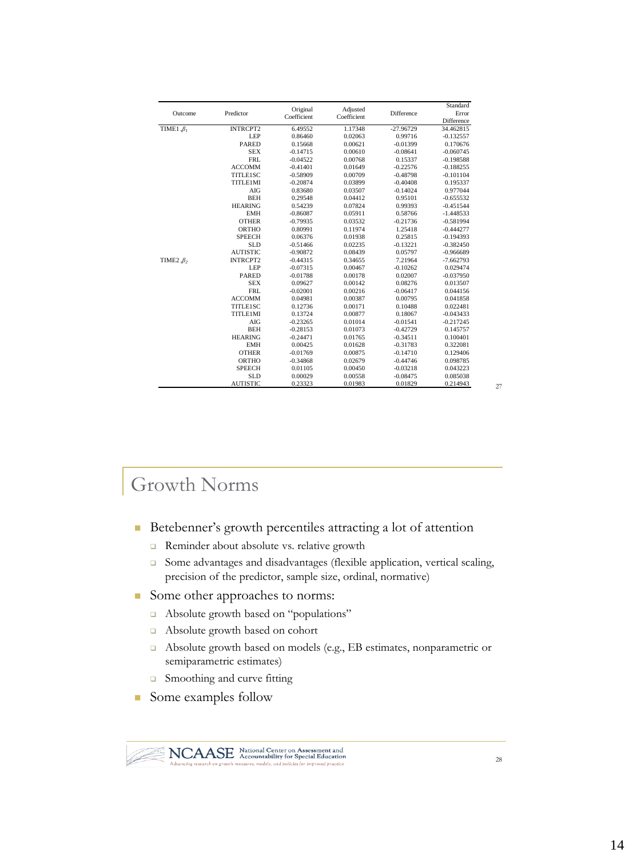|                       |                 | Original    |                         |             | Standard    |
|-----------------------|-----------------|-------------|-------------------------|-------------|-------------|
| Outcome               | Predictor       | Coefficient | Adjusted<br>Coefficient | Difference  | Error       |
|                       |                 |             |                         |             | Difference  |
| TIME1, $\beta_I$      | <b>INTRCPT2</b> | 6.49552     | 1.17348                 | $-27.96729$ | 34.462815   |
|                       | <b>LEP</b>      | 0.86460     | 0.02063                 | 0.99716     | $-0.132557$ |
|                       | <b>PARED</b>    | 0.15668     | 0.00621                 | $-0.01399$  | 0.170676    |
|                       | <b>SEX</b>      | $-0.14715$  | 0.00610                 | $-0.08641$  | $-0.060745$ |
|                       | <b>FRL</b>      | $-0.04522$  | 0.00768                 | 0.15337     | $-0.198588$ |
|                       | <b>ACCOMM</b>   | $-0.41401$  | 0.01649                 | $-0.22576$  | $-0.188255$ |
|                       | TITLE1SC        | $-0.58909$  | 0.00709                 | $-0.48798$  | $-0.101104$ |
|                       | TITLE1MI        | $-0.20874$  | 0.03899                 | $-0.40408$  | 0.195337    |
|                       | AIG             | 0.83680     | 0.03507                 | $-0.14024$  | 0.977044    |
|                       | <b>BEH</b>      | 0.29548     | 0.04412                 | 0.95101     | $-0.655532$ |
|                       | <b>HEARING</b>  | 0.54239     | 0.07824                 | 0.99393     | $-0.451544$ |
|                       | <b>EMH</b>      | $-0.86087$  | 0.05911                 | 0.58766     | $-1.448533$ |
|                       | <b>OTHER</b>    | $-0.79935$  | 0.03532                 | $-0.21736$  | $-0.581994$ |
|                       | <b>ORTHO</b>    | 0.80991     | 0.11974                 | 1.25418     | $-0.444277$ |
|                       | <b>SPEECH</b>   | 0.06376     | 0.01938                 | 0.25815     | $-0.194393$ |
|                       | <b>SLD</b>      | $-0.51466$  | 0.02235                 | $-0.13221$  | $-0.382450$ |
|                       | <b>AUTISTIC</b> | $-0.90872$  | 0.08439                 | 0.05797     | $-0.966689$ |
| TIME2 $\mathcal{B}_2$ | <b>INTRCPT2</b> | $-0.44315$  | 0.34655                 | 7.21964     | $-7.662793$ |
|                       | <b>LEP</b>      | $-0.07315$  | 0.00467                 | $-0.10262$  | 0.029474    |
|                       | <b>PARED</b>    | $-0.01788$  | 0.00178                 | 0.02007     | $-0.037950$ |
|                       | <b>SEX</b>      | 0.09627     | 0.00142                 | 0.08276     | 0.013507    |
|                       | <b>FRL</b>      | $-0.02001$  | 0.00216                 | $-0.06417$  | 0.044156    |
|                       | <b>ACCOMM</b>   | 0.04981     | 0.00387                 | 0.00795     | 0.041858    |
|                       | TITLE1SC        | 0.12736     | 0.00171                 | 0.10488     | 0.022481    |
|                       | TITLE1MI        | 0.13724     | 0.00877                 | 0.18067     | $-0.043433$ |
|                       | AIG             | $-0.23265$  | 0.01014                 | $-0.01541$  | $-0.217245$ |
|                       | <b>BEH</b>      | $-0.28153$  | 0.01073                 | $-0.42729$  | 0.145757    |
|                       | <b>HEARING</b>  | $-0.24471$  | 0.01765                 | $-0.34511$  | 0.100401    |
|                       | <b>EMH</b>      | 0.00425     | 0.01628                 | $-0.31783$  | 0.322081    |
|                       | <b>OTHER</b>    | $-0.01769$  | 0.00875                 | $-0.14710$  | 0.129406    |
|                       | ORTHO           | $-0.34868$  | 0.02679                 | $-0.44746$  | 0.098785    |
|                       | <b>SPEECH</b>   | 0.01105     | 0.00450                 | $-0.03218$  | 0.043223    |
|                       | <b>SLD</b>      | 0.00029     | 0.00558                 | $-0.08475$  | 0.085038    |
|                       | <b>AUTISTIC</b> | 0.23323     | 0.01983                 | 0.01829     | 0.214943    |

## Growth Norms

- Betebenner's growth percentiles attracting a lot of attention
	- Reminder about absolute vs. relative growth
	- Some advantages and disadvantages (flexible application, vertical scaling, precision of the predictor, sample size, ordinal, normative)
- Some other approaches to norms:
	- Absolute growth based on "populations"
	- Absolute growth based on cohort
	- Absolute growth based on models (e.g., EB estimates, nonparametric or semiparametric estimates)
	- □ Smoothing and curve fitting
- Some examples follow

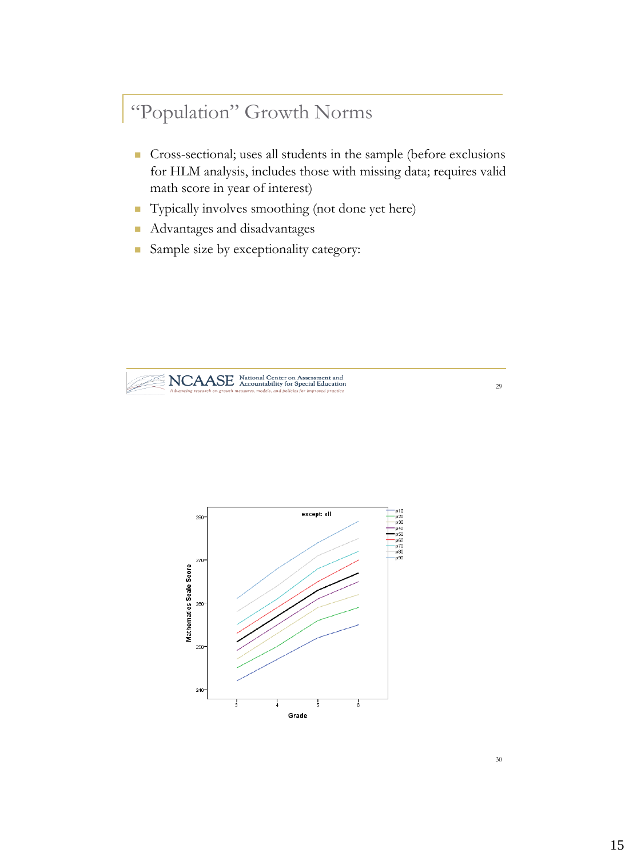# "Population" Growth Norms

- Cross-sectional; uses all students in the sample (before exclusions for HLM analysis, includes those with missing data; requires valid math score in year of interest)
- Typically involves smoothing (not done yet here)
- **Advantages and disadvantages**
- Sample size by exceptionality category:



NCAASE National Center on Assessment and

29

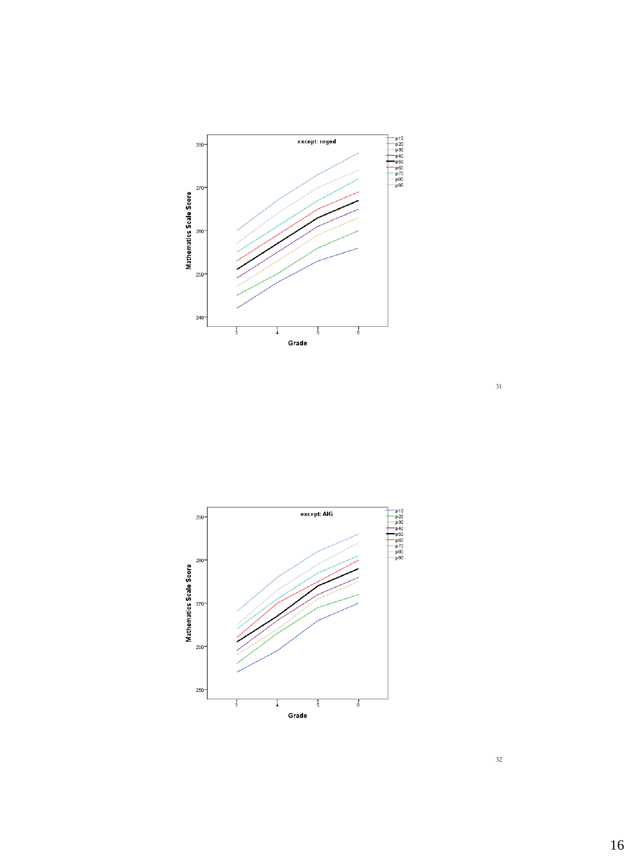

 $\begin{tabular}{|c|c|} \hline p10 & p20 \\ \hline p20 & p30 \\ \hline p440 & p50 \\ \hline p50 & p60 \\ \hline p70 & p80 \\ \hline p90 & p90 \\ \hline \end{tabular}$  $\overline{$  except: AIG 290 280 Mathematics Scale Score  $270$ 260 250  $\frac{1}{6}$  $\frac{1}{5}$  $\frac{1}{3}$  $\frac{1}{4}$ Grade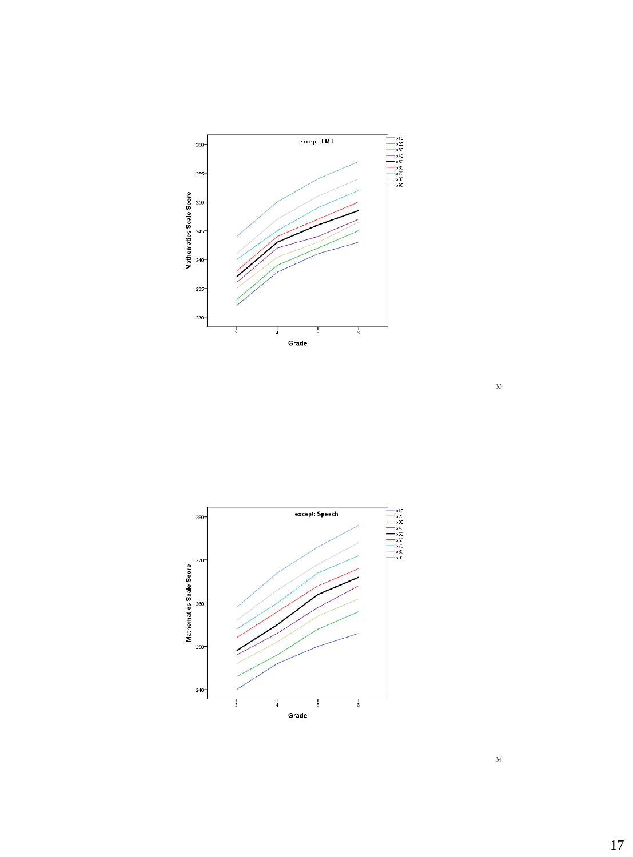

 $\begin{array}{r} \mathsf{p10} \\ \mathsf{p20} \\ \mathsf{p30} \\ \mathsf{p40} \\ \mathsf{p50} \\ \mathsf{p70} \\ \mathsf{p80} \\ \mathsf{p90} \end{array}$ except: Speech 280 270 260 250  $240 \frac{1}{3}$  $\frac{1}{6}$  $\frac{1}{4}$  $\frac{1}{5}$ Grade

Mathematics Scale Score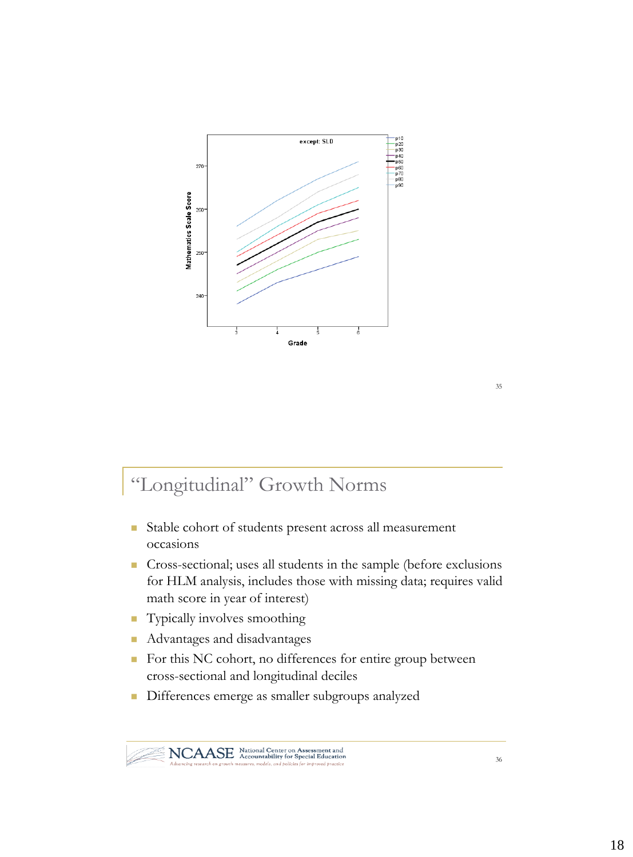

# "Longitudinal" Growth Norms

- Stable cohort of students present across all measurement occasions
- Cross-sectional; uses all students in the sample (before exclusions for HLM analysis, includes those with missing data; requires valid math score in year of interest)
- **Typically involves smoothing**
- **Advantages and disadvantages**
- For this NC cohort, no differences for entire group between cross-sectional and longitudinal deciles
- Differences emerge as smaller subgroups analyzed

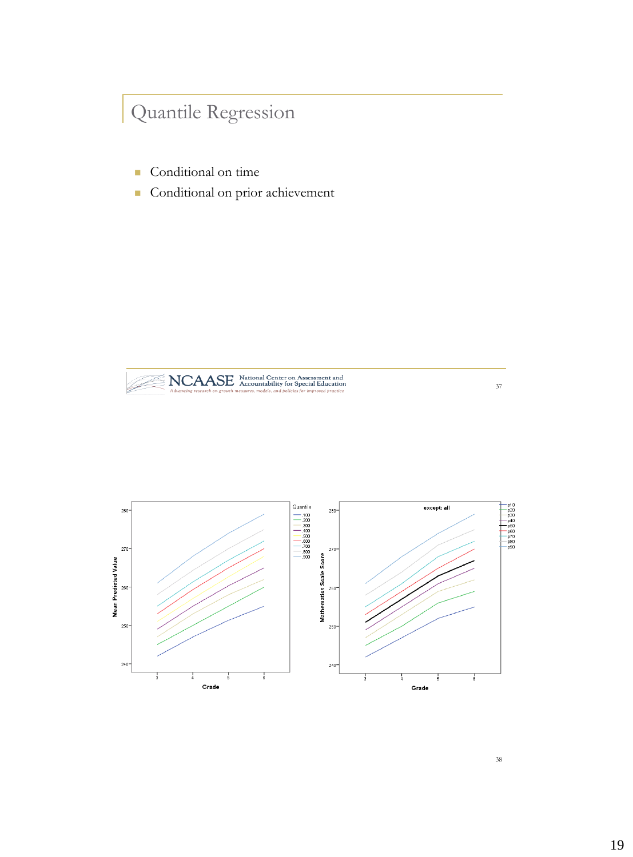# Quantile Regression

- Conditional on time
- Conditional on prior achievement





38